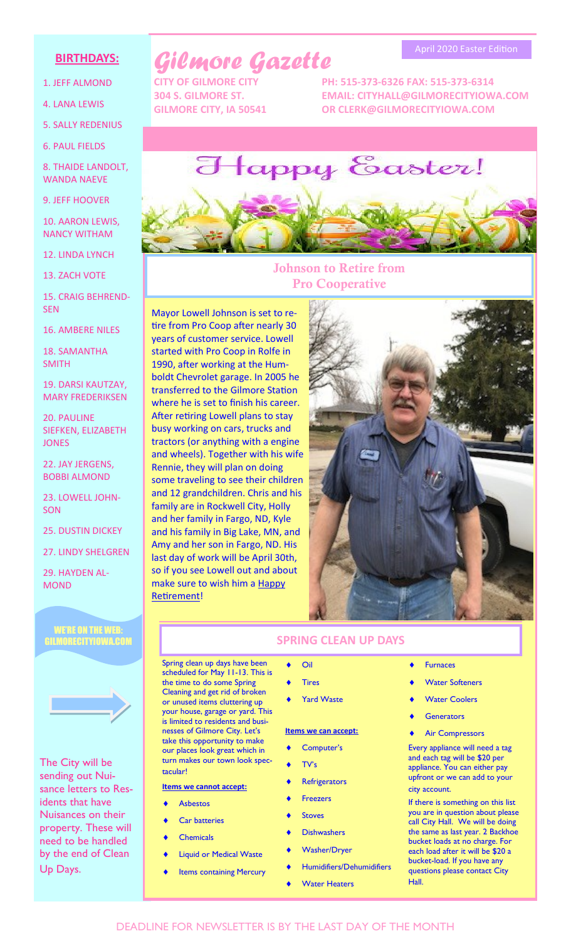## **BIRTHDAYS:**

- 1. JEFF ALMOND
- 4. LANA LEWIS
- 5. SALLY REDENIUS

6. PAUL FIELDS

8. THAIDE LANDOLT, WANDA NAEVE

9. JEFF HOOVER

10. AARON LEWIS, NANCY WITHAM

12. LINDA LYNCH

13. ZACH VOTE

15. CRAIG BEHREND-SEN

16. AMBERE NILES

18. SAMANTHA SMITH

19. DARSI KAUTZAY, MARY FREDERIKSEN

20. PAULINE SIEFKEN, ELIZABETH **JONES** 

22. JAY JERGENS, BOBBI ALMOND

23. LOWELL JOHN-SON

25. DUSTIN DICKEY

27. LINDY SHELGREN

29. HAYDEN AL-MOND

#### WE'RE ON THE WEB: GILMORECITYIOWA.COM



The City will be sending out Nuisance letters to Residents that have Nuisances on their property. These will need to be handled by the end of Clean Up Days.

# *Gilmore Gazette*

**CITY OF GILMORE CITY PH: 515-373-6326 FAX: 515-373-6314 304 S. GILMORE ST. EMAIL: CITYHALL@GILMORECITYIOWA.COM GILMORE CITY, IA 50541 OR CLERK@GILMORECITYIOWA.COM**

April 2020 Easter Edition



## **Johnson to Retire from Pro Cooperative**

Mayor Lowell Johnson is set to retire from Pro Coop after nearly 30 years of customer service. Lowell started with Pro Coop in Rolfe in 1990, after working at the Humboldt Chevrolet garage. In 2005 he transferred to the Gilmore Station where he is set to finish his career. After retiring Lowell plans to stay busy working on cars, trucks and tractors (or anything with a engine and wheels). Together with his wife Rennie, they will plan on doing some traveling to see their children and 12 grandchildren. Chris and his family are in Rockwell City, Holly and her family in Fargo, ND, Kyle and his family in Big Lake, MN, and Amy and her son in Fargo, ND. His last day of work will be April 30th, so if you see Lowell out and about make sure to wish him a Happy Retirement!



#### Spring clean up days have been scheduled for May 11-13. This is the time to do some Spring

Cleaning and get rid of broken or unused items cluttering up your house, garage or yard. This is limited to residents and businesses of Gilmore City. Let's take this opportunity to make our places look great which in turn makes our town look spectacular!

#### **Items we cannot accept:**

- Asbestos
- Car batteries
- **Chemicals**
- Liquid or Medical Waste
- **Items containing Mercury**
- **SPRING CLEAN UP DAYS**
	- Oil
	- Tires
	- Yard Waste

#### **Items we can accept:**

- Computer's
- TV's
- **Refrigerators**
- Freezers
- **Stoves**
- **Dishwashers**
- Washer/Dryer
- Humidifiers/Dehumidifiers
- Water Heaters
- **Furnaces**
- Water Softeners
- Water Coolers
- **Generators**
- Air Compressors

Every appliance will need a tag and each tag will be \$20 per appliance. You can either pay upfront or we can add to your city account.

If there is something on this list you are in question about please call City Hall. We will be doing the same as last year. 2 Backhoe bucket loads at no charge. For each load after it will be \$20 a bucket-load. If you have any questions please contact City Hall.